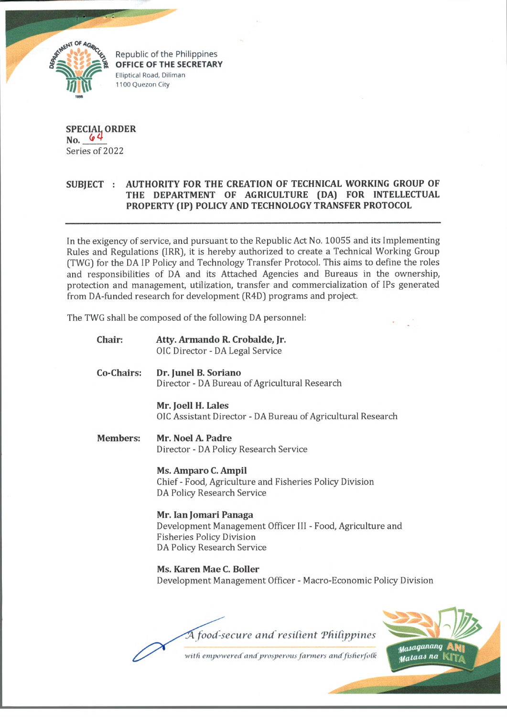

Republic of the Philippines **OFFICE OF THE SECRETARY** Elliptical Road, Diliman 1100 Quezon City

**SPECIAL ORDER No.** Series of 2022

# **SUBJECT : AUTHORITY FOR THE CREATION OF TECHNICAL WORKING GROUP OF THE DEPARTMENT OF AGRICULTURE (DA) FOR INTELLECTUAL PROPERTY (IP) POLICY AND TECHNOLOGY TRANSFER PROTOCOL**

In the exigency of service, and pursuant to the Republic Act No. 10055 and its Implementing Rules and Regulations (IRR), it is hereby authorized to create a Technical Working Group (TWG) for the DA IP Policy and Technology Transfer Protocol. This aims to define the roles and responsibilities of DA and its Attached Agencies and Bureaus in the ownership, protection and management, utilization, transfer and commercialization of IPs generated from DA-fimded research for development (R4D) programs and project.

The TWG shall be composed of the following DA personnel:

**Chair: Atty. Armando R. Crobalde, Jr.** OIC Director - DA Legal Service **Co-Chairs: Dr. Junel B. Soriano** Director - DA Bureau of Agricultural Research **Mr. Joell H. Lales** OIC Assistant Director - DA Bureau of Agricultural Research **Members: Mr. Noel A. Padre** Director - DA Policy Research Service **Ms. Amparo C. Ampil** Chief - Food, Agriculture and Fisheries Policy Division DA Policy Research Service **Mr. Ian Jomari Panaga** Development Management Officer III - Food, Agriculture and Fisheries Policy Division DA Policy Research Service **Ms. Karen Mae C. Boiler** Development Management Officer - Macro-Economic Policy Division

A food-secure and resilient Philippines with empowered and prosperous farmers and fisherfolk

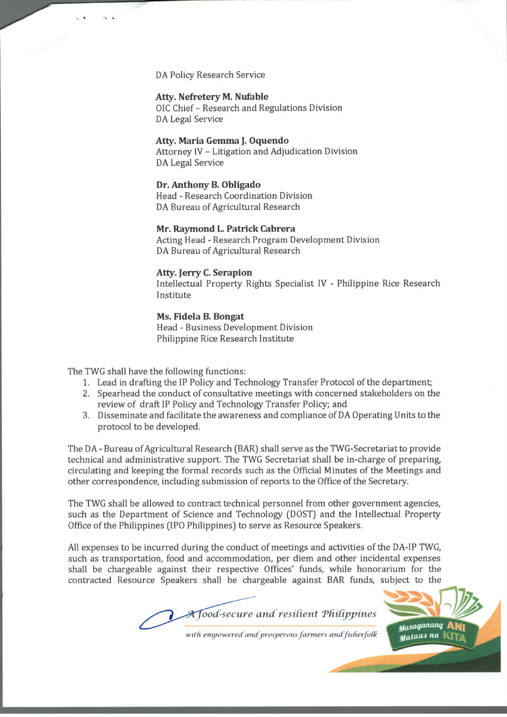DA Policy Research Service

 $r_{2} = 0$ 

## **Atty. Nefretery M. Nufable**

01C Chief - Research and Regulations Division DA Legal Service

## **Atty. Maria Gemma J. Oquendo**

Attorney IV - Litigation and Adjudication Division DA Legal Service

# **Dr. Anthony B. Obligado**

Head - Research Coordination Division DA Bureau of Agricultural Research

#### **Mr. Raymond L. Patrick Cabrera**

Acting Head - Research Program Development Division DA Bureau of Agricultural Research

#### **Atty. Jerry C. Serapion**

Intellectual Property Rights Specialist IV - Philippine Rice Research Institute

## **Ms. Fidela B. Bongat** Head - Business Development Division Philippine Rice Research Institute

The TWG shall have the following functions:

- 1. Lead in drafting the IP Policy and Technology Transfer Protocol of the department;
- 2. Spearhead the conduct of consultative meetings with concerned stakeholders on the review of draft IP Policy and Technology Transfer Policy; and
- 3. Disseminate and facilitate the awareness and compliance of DA Operating Units to the protocol to be developed.

The DA - Bureau of Agricultural Research (BAR) shall serve as the TWG-Secretariat to provide technical and administrative support. The TWG Secretariat shall be in-charge of preparing, circulating and keeping the formal records such as the Official Minutes of the Meetings and other correspondence, including submission of reports to the Office of the Secretary.

The TWG shall be allowed to contract technical personnel from other government agencies, such as the Department of Science and Technology (DOST) and the Intellectual Property Office of the Philippines (IPO Philippines) to serve as Resource Speakers.

All expenses to be incurred during the conduct of meetings and activities of the DA-IP TWG, such as transportation, food and accommodation, per diem and other incidental expenses shall be chargeable against their respective Offices' funds, while honorarium for the contracted Resource Speakers shall be chargeable against BAR funds, subject to the

*ood-secure and resilient 'Philippines*



*•wild empowered' andprosperous farmers andfisfierfodk*